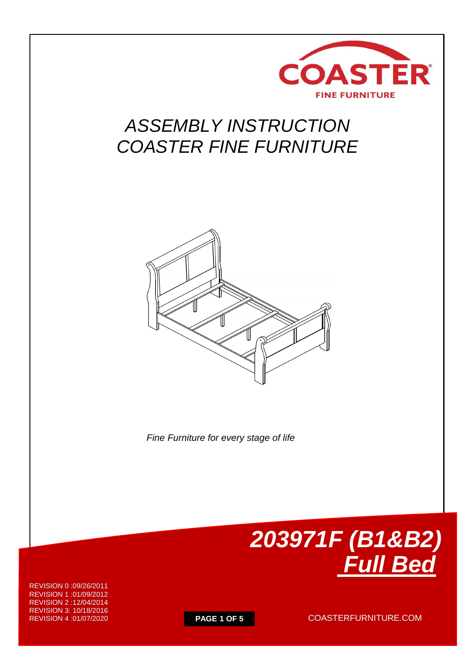

## *ASSEMBLY INSTRUCTION COASTER FINE FURNITURE*



 *Fine Furniture for every stage of life*



REVISION 0 :09/26/2011 REVISION 1 :01/09/2012 REVISION 2 :12/04/2014 REVISION 3: 10/18/2016 REVISION 4 :01/07/2020

**PAGE 1 OF 5** COASTERFURNITURE.COM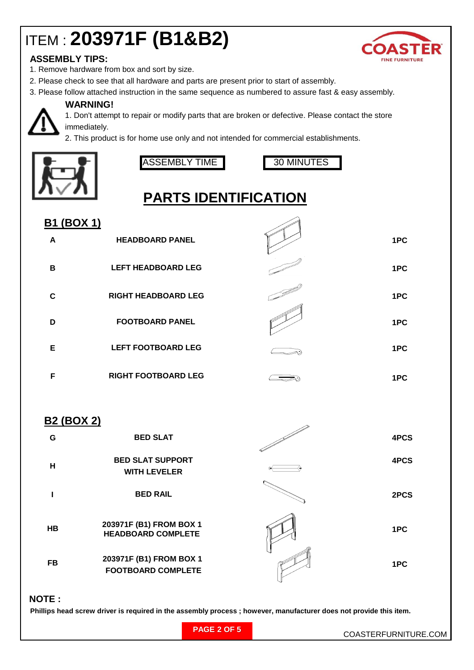# ITEM : **203971F (B1&B2)**



### **ASSEMBLY TIPS:**

- 1. Remove hardware from box and sort by size.
- 2. Please check to see that all hardware and parts are present prior to start of assembly.
- 3. Please follow attached instruction in the same sequence as numbered to assure fast & easy assembly.

### **WARNING!**

1. Don't attempt to repair or modify parts that are broken or defective. Please contact the store immediately.

2. This product is for home use only and not intended for commercial establishments.



ASSEMBLY TIME I 30 MINUTES



## **PARTS IDENTIFICATION**

| <u>B1 (BOX 1)</u> |                            |     |
|-------------------|----------------------------|-----|
| A                 | <b>HEADBOARD PANEL</b>     | 1PC |
| B                 | <b>LEFT HEADBOARD LEG</b>  | 1PC |
| C                 | <b>RIGHT HEADBOARD LEG</b> | 1PC |
| D                 | <b>FOOTBOARD PANEL</b>     | 1PC |
| Е                 | <b>LEFT FOOTBOARD LEG</b>  | 1PC |
| F                 | <b>RIGHT FOOTBOARD LEG</b> | 1PC |

### **B2 (BOX 2)**

| G         | <b>BED SLAT</b>                                      | 4PCS |
|-----------|------------------------------------------------------|------|
| н         | <b>BED SLAT SUPPORT</b><br><b>WITH LEVELER</b>       | 4PCS |
|           | <b>BED RAIL</b>                                      | 2PCS |
| <b>HB</b> | 203971F (B1) FROM BOX 1<br><b>HEADBOARD COMPLETE</b> | 1PC  |
| FB        | 203971F (B1) FROM BOX 1<br><b>FOOTBOARD COMPLETE</b> | 1PC  |

#### **NOTE :**

 **Phillips head screw driver is required in the assembly process ; however, manufacturer does not provide this item.**

|  |  | <b>PAGE 2 OF 5</b> |  |  |  |
|--|--|--------------------|--|--|--|
|--|--|--------------------|--|--|--|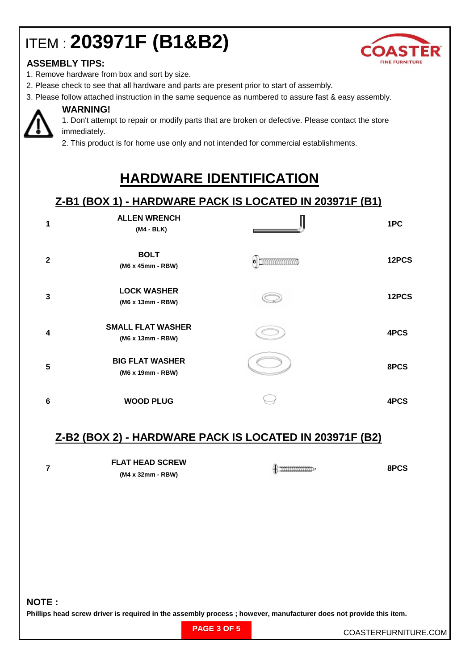# ITEM : **203971F (B1&B2)**



### **ASSEMBLY TIPS:**

- 1. Remove hardware from box and sort by size.
- 2. Please check to see that all hardware and parts are present prior to start of assembly.
- 3. Please follow attached instruction in the same sequence as numbered to assure fast & easy assembly.



### **WARNING!**

1. Don't attempt to repair or modify parts that are broken or defective. Please contact the store immediately.

2. This product is for home use only and not intended for commercial establishments.

## **HARDWARE IDENTIFICATION**

### **Z-B1 (BOX 1) - HARDWARE PACK IS LOCATED IN 203971F (B1)**

| 1              | <b>ALLEN WRENCH</b><br>(M4 - BLK)             | 1PC   |
|----------------|-----------------------------------------------|-------|
| $\overline{2}$ | <b>BOLT</b><br>(M6 x 45mm - RBW)              | 12PCS |
| 3              | <b>LOCK WASHER</b><br>(M6 x 13mm - RBW)       | 12PCS |
| 4              | <b>SMALL FLAT WASHER</b><br>(M6 x 13mm - RBW) | 4PCS  |
| 5              | <b>BIG FLAT WASHER</b><br>(M6 x 19mm - RBW)   | 8PCS  |
| 6              | <b>WOOD PLUG</b>                              | 4PCS  |

### **Z-B2 (BOX 2) - HARDWARE PACK IS LOCATED IN 203971F (B2)**

| <b>FLAT HEAD SCREW</b> | 8PCS |
|------------------------|------|
| (M4 x 32mm - RBW)      |      |

**NOTE :**

**Phillips head screw driver is required in the assembly process ; however, manufacturer does not provide this item.**

| <b>PAGE 3 OF 5</b> |
|--------------------|
|--------------------|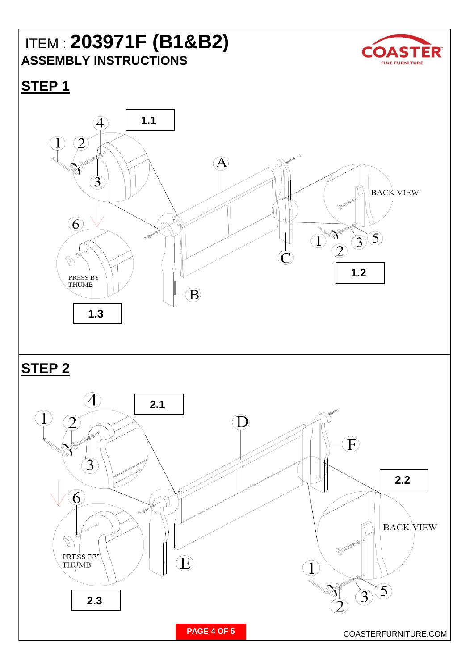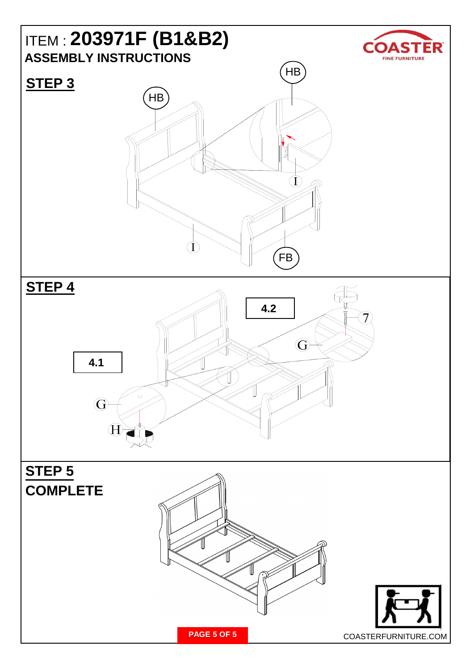